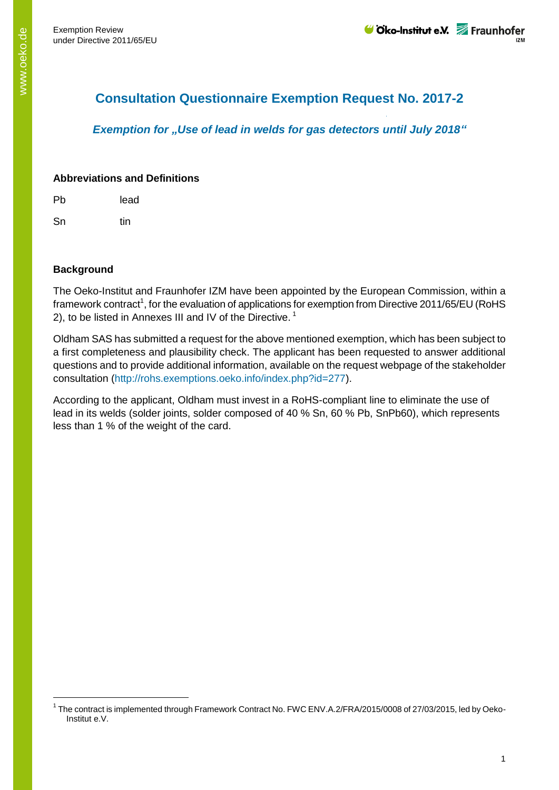# **Consultation Questionnaire Exemption Request No. 2017-2**

*Exemption for "Use of lead in welds for gas detectors until July 2018"*

## **Abbreviations and Definitions**

Pb lead

Sn tin

## **Background**

-

The Oeko-Institut and Fraunhofer IZM have been appointed by the European Commission, within a framework contract<sup>1</sup>, for the evaluation of applications for exemption from Directive 2011/65/EU (RoHS 2), to be listed in Annexes III and IV of the Directive.<sup>1</sup>

Oldham SAS has submitted a request for the above mentioned exemption, which has been subject to a first completeness and plausibility check. The applicant has been requested to answer additional questions and to provide additional information, available on the request webpage of the stakeholder consultation (http://rohs.exemptions.oeko.info/index.php?id=277).

According to the applicant, Oldham must invest in a RoHS-compliant line to eliminate the use of lead in its welds (solder joints, solder composed of 40 % Sn, 60 % Pb, SnPb60), which represents less than 1 % of the weight of the card.

<sup>&</sup>lt;sup>1</sup> The contract is implemented through Framework Contract No. FWC ENV.A.2/FRA/2015/0008 of 27/03/2015, led by Oeko-Institut e.V.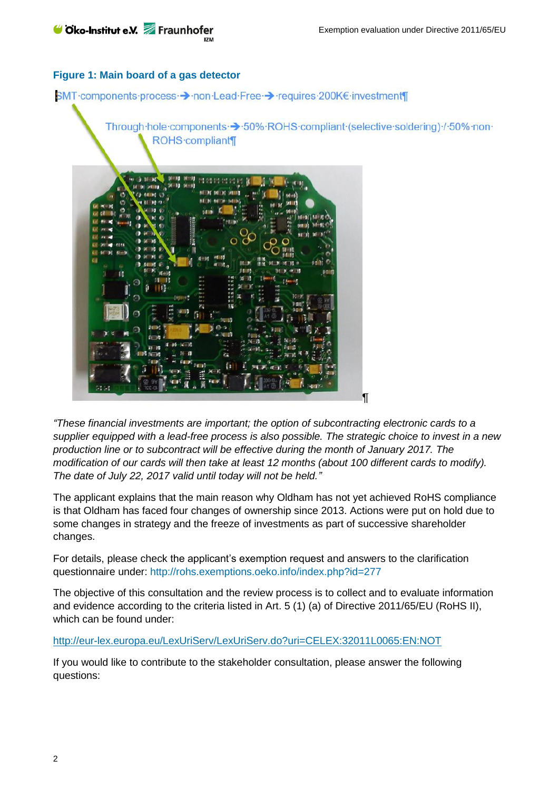#### **Figure 1: Main board of a gas detector**



*"These financial investments are important; the option of subcontracting electronic cards to a supplier equipped with a lead-free process is also possible. The strategic choice to invest in a new production line or to subcontract will be effective during the month of January 2017. The modification of our cards will then take at least 12 months (about 100 different cards to modify). The date of July 22, 2017 valid until today will not be held."*

The applicant explains that the main reason why Oldham has not yet achieved RoHS compliance is that Oldham has faced four changes of ownership since 2013. Actions were put on hold due to some changes in strategy and the freeze of investments as part of successive shareholder changes.

For details, please check the applicant's exemption request and answers to the clarification questionnaire under: http://rohs.exemptions.oeko.info/index.php?id=277

The objective of this consultation and the review process is to collect and to evaluate information and evidence according to the criteria listed in Art. 5 (1) (a) of Directive 2011/65/EU (RoHS II), which can be found under:

<http://eur-lex.europa.eu/LexUriServ/LexUriServ.do?uri=CELEX:32011L0065:EN:NOT>

If you would like to contribute to the stakeholder consultation, please answer the following questions: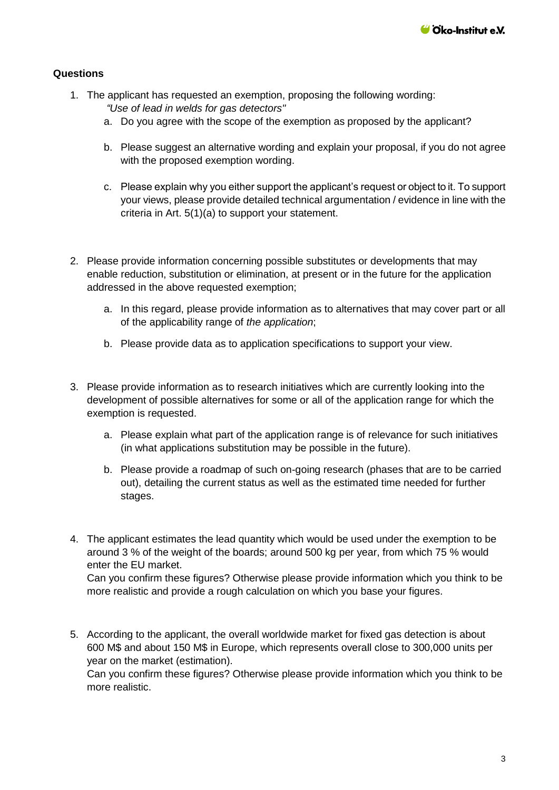#### **Questions**

- 1. The applicant has requested an exemption, proposing the following wording:
	- *"Use of lead in welds for gas detectors"*
	- a. Do you agree with the scope of the exemption as proposed by the applicant?
	- b. Please suggest an alternative wording and explain your proposal, if you do not agree with the proposed exemption wording.
	- c. Please explain why you either support the applicant's request or object to it. To support your views, please provide detailed technical argumentation / evidence in line with the criteria in Art. 5(1)(a) to support your statement.
- 2. Please provide information concerning possible substitutes or developments that may enable reduction, substitution or elimination, at present or in the future for the application addressed in the above requested exemption;
	- a. In this regard, please provide information as to alternatives that may cover part or all of the applicability range of *the application*;
	- b. Please provide data as to application specifications to support your view.
- 3. Please provide information as to research initiatives which are currently looking into the development of possible alternatives for some or all of the application range for which the exemption is requested.
	- a. Please explain what part of the application range is of relevance for such initiatives (in what applications substitution may be possible in the future).
	- b. Please provide a roadmap of such on-going research (phases that are to be carried out), detailing the current status as well as the estimated time needed for further stages.
- 4. The applicant estimates the lead quantity which would be used under the exemption to be around 3 % of the weight of the boards; around 500 kg per year, from which 75 % would enter the EU market. Can you confirm these figures? Otherwise please provide information which you think to be more realistic and provide a rough calculation on which you base your figures.
- 5. According to the applicant, the overall worldwide market for fixed gas detection is about 600 M\$ and about 150 M\$ in Europe, which represents overall close to 300,000 units per year on the market (estimation).

Can you confirm these figures? Otherwise please provide information which you think to be more realistic.